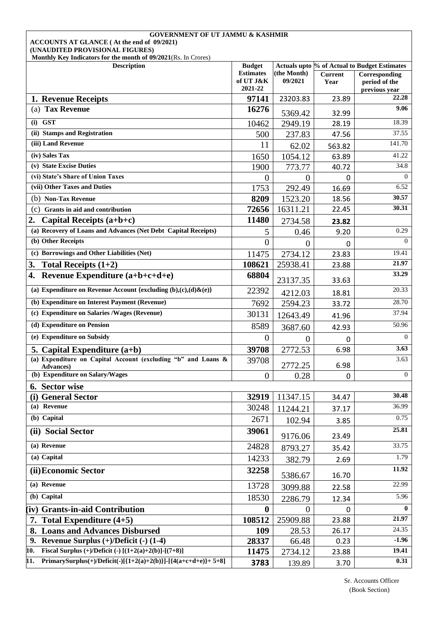| <b>GOVERNMENT OF UT JAMMU &amp; KASHMIR</b><br>ACCOUNTS AT GLANCE (At the end of 09/2021)         |                               |                        |                        |                                              |  |  |
|---------------------------------------------------------------------------------------------------|-------------------------------|------------------------|------------------------|----------------------------------------------|--|--|
| (UNAUDITED PROVISIONAL FIGURES)<br>Monthly Key Indicators for the month of 09/2021(Rs. In Crores) |                               |                        |                        |                                              |  |  |
| <b>Description</b>                                                                                | <b>Budget</b>                 |                        |                        | Actuals upto % of Actual to Budget Estimates |  |  |
|                                                                                                   | <b>Estimates</b><br>of UT J&K | (the Month)<br>09/2021 | <b>Current</b><br>Year | Corresponding<br>period of the               |  |  |
|                                                                                                   | 2021-22                       |                        |                        | previous year                                |  |  |
| 1. Revenue Receipts                                                                               | 97141                         | 23203.83               | 23.89                  | 22.28                                        |  |  |
| (a) Tax Revenue                                                                                   | 16276                         | 5369.42                | 32.99                  | 9.06                                         |  |  |
| $(i)$ GST                                                                                         | 10462                         | 2949.19                | 28.19                  | 18.39                                        |  |  |
| (ii) Stamps and Registration                                                                      | 500                           | 237.83                 | 47.56                  | 37.55                                        |  |  |
| (iii) Land Revenue                                                                                | 11                            | 62.02                  | 563.82                 | 141.70                                       |  |  |
| $(iv)$ Sales Tax                                                                                  | 1650                          | 1054.12                | 63.89                  | 41.22                                        |  |  |
| (v) State Excise Duties                                                                           | 1900                          | 773.77                 | 40.72                  | 34.8                                         |  |  |
| (vi) State's Share of Union Taxes                                                                 | 0                             | $\overline{0}$         | $\mathbf{0}$           | $\left($                                     |  |  |
| (vii) Other Taxes and Duties                                                                      | 1753                          | 292.49                 | 16.69                  | 6.52                                         |  |  |
| (b) Non-Tax Revenue                                                                               | 8209                          | 1523.20                | 18.56                  | 30.57                                        |  |  |
| (c)<br>Grants in aid and contribution                                                             | 72656                         | 16311.21               | 22.45                  | 30.31                                        |  |  |
| Capital Receipts $(a+b+c)$<br>2.                                                                  | 11480                         | 2734.58                | 23.82                  |                                              |  |  |
| (a) Recovery of Loans and Advances (Net Debt Capital Receipts)                                    | 5                             | 0.46                   | 9.20                   | 0.29                                         |  |  |
| (b) Other Receipts                                                                                | $\theta$                      | $\theta$               | 0                      | $\Omega$                                     |  |  |
| (c) Borrowings and Other Liabilities (Net)                                                        | 11475                         | 2734.12                | 23.83                  | 19.41                                        |  |  |
| Total Receipts $(1+2)$<br>3.                                                                      | 108621                        | 25938.41               | 23.88                  | 21.97                                        |  |  |
| Revenue Expenditure (a+b+c+d+e)<br>4.                                                             | 68804                         | 23137.35               | 33.63                  | 33.29                                        |  |  |
| (a) Expenditure on Revenue Account {excluding $(b),(c),(d)\& (e)\}$                               | 22392                         | 4212.03                | 18.81                  | 20.33                                        |  |  |
| (b) Expenditure on Interest Payment (Revenue)                                                     | 7692                          | 2594.23                | 33.72                  | 28.70                                        |  |  |
| (c) Expenditure on Salaries /Wages (Revenue)                                                      | 30131                         | 12643.49               | 41.96                  | 37.94                                        |  |  |
| (d) Expenditure on Pension                                                                        | 8589                          | 3687.60                | 42.93                  | 50.96                                        |  |  |
| (e) Expenditure on Subsidy                                                                        | $\overline{0}$                | 0                      | 0                      | $\overline{0}$                               |  |  |
| 5. Capital Expenditure $(a+b)$                                                                    | 39708                         | 2772.53                | 6.98                   | 3.63                                         |  |  |
| (a) Expenditure on Capital Account (excluding "b" and Loans &<br><b>Advances</b> )                | 39708                         | 2772.25                | 6.98                   | 3.63                                         |  |  |
| (b) Expenditure on Salary/Wages                                                                   | $\overline{0}$                | 0.28                   | 0                      | $\Omega$                                     |  |  |
| 6. Sector wise                                                                                    |                               |                        |                        |                                              |  |  |
| (i) General Sector                                                                                | 32919                         | 11347.15               | 34.47                  | 30.48                                        |  |  |
| (a) Revenue                                                                                       | 30248                         | 11244.21               | 37.17                  | 36.99                                        |  |  |
| (b) Capital                                                                                       | 2671                          | 102.94                 | 3.85                   | 0.75                                         |  |  |
| (ii) Social Sector                                                                                | 39061                         | 9176.06                | 23.49                  | 25.81                                        |  |  |
| (a) Revenue                                                                                       | 24828                         | 8793.27                | 35.42                  | 33.75                                        |  |  |
| (a) Capital                                                                                       | 14233                         | 382.79                 | 2.69                   | 1.79                                         |  |  |
| (ii) Economic Sector                                                                              | 32258                         | 5386.67                | 16.70                  | 11.92                                        |  |  |
| (a) Revenue                                                                                       | 13728                         | 3099.88                | 22.58                  | 22.99                                        |  |  |
| (b) Capital                                                                                       | 18530                         | 2286.79                | 12.34                  | 5.96                                         |  |  |
| (iv) Grants-in-aid Contribution                                                                   | $\bf{0}$                      | $\Omega$               | 0                      | $\mathbf{0}$                                 |  |  |
| 7. Total Expenditure $(4+5)$                                                                      | 108512                        | 25909.88               | 23.88                  | 21.97                                        |  |  |
| <b>Loans and Advances Disbursed</b>                                                               | 109                           | 28.53                  | 26.17                  | 24.35                                        |  |  |
| 9. Revenue Surplus $(+)/$ Deficit $(-)$ (1-4)                                                     | 28337                         | 66.48                  | 0.23                   | $-1.96$                                      |  |  |
| Fiscal Surplus (+)/Deficit (-) $[(1+2(a)+2(b)]-(7+8)]$<br>10.                                     | 11475                         | 2734.12                | 23.88                  | 19.41                                        |  |  |
| PrimarySurplus(+)/Deficit(-)[{1+2(a)+2(b)}]-[{4(a+c+d+e)}+ 5+8]<br>11.                            | 3783                          | 139.89                 | 3.70                   | 0.31                                         |  |  |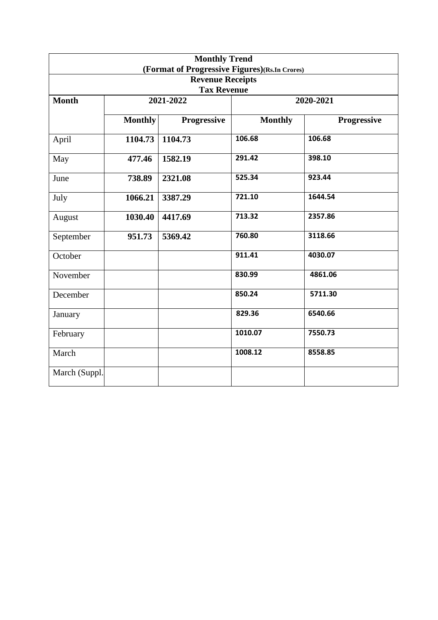| <b>Monthly Trend</b><br>(Format of Progressive Figures)(Rs.In Crores) |                |                                 |                |                    |  |  |  |  |
|-----------------------------------------------------------------------|----------------|---------------------------------|----------------|--------------------|--|--|--|--|
| <b>Revenue Receipts</b>                                               |                |                                 |                |                    |  |  |  |  |
| <b>Month</b>                                                          |                | <b>Tax Revenue</b><br>2021-2022 |                | 2020-2021          |  |  |  |  |
|                                                                       |                |                                 |                |                    |  |  |  |  |
|                                                                       | <b>Monthly</b> | <b>Progressive</b>              | <b>Monthly</b> | <b>Progressive</b> |  |  |  |  |
| April                                                                 | 1104.73        | 1104.73                         | 106.68         | 106.68             |  |  |  |  |
| May                                                                   | 477.46         | 1582.19                         | 291.42         | 398.10             |  |  |  |  |
| June                                                                  | 738.89         | 2321.08                         | 525.34         | 923.44             |  |  |  |  |
| July                                                                  | 1066.21        | 3387.29                         | 721.10         | 1644.54            |  |  |  |  |
| August                                                                | 1030.40        | 4417.69                         | 713.32         | 2357.86            |  |  |  |  |
| September                                                             | 951.73         | 5369.42                         | 760.80         | 3118.66            |  |  |  |  |
| October                                                               |                |                                 | 911.41         | 4030.07            |  |  |  |  |
| November                                                              |                |                                 | 830.99         | 4861.06            |  |  |  |  |
| December                                                              |                |                                 | 850.24         | 5711.30            |  |  |  |  |
| January                                                               |                |                                 | 829.36         | 6540.66            |  |  |  |  |
| February                                                              |                |                                 | 1010.07        | 7550.73            |  |  |  |  |
| March                                                                 |                |                                 | 1008.12        | 8558.85            |  |  |  |  |
| March (Suppl.                                                         |                |                                 |                |                    |  |  |  |  |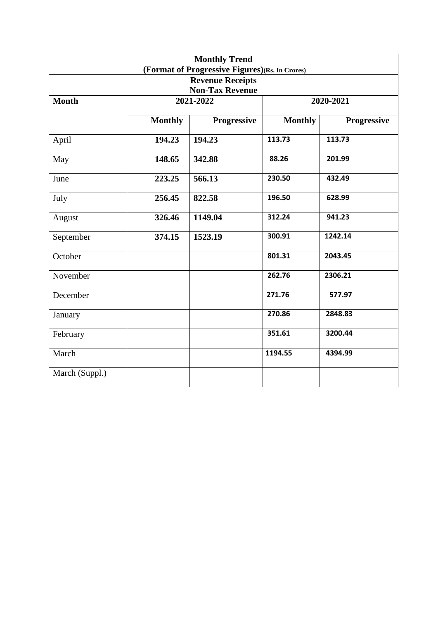|                |                | <b>Monthly Trend</b>                           |                |                    |
|----------------|----------------|------------------------------------------------|----------------|--------------------|
|                |                | (Format of Progressive Figures)(Rs. In Crores) |                |                    |
|                |                | <b>Revenue Receipts</b>                        |                |                    |
|                |                | <b>Non-Tax Revenue</b>                         |                |                    |
| <b>Month</b>   |                | 2021-2022                                      |                | 2020-2021          |
|                |                |                                                |                |                    |
|                | <b>Monthly</b> | Progressive                                    | <b>Monthly</b> | <b>Progressive</b> |
| April          | 194.23         | 194.23                                         | 113.73         | 113.73             |
| May            | 148.65         | 342.88                                         | 88.26          | 201.99             |
| June           | 223.25         | 566.13                                         | 230.50         | 432.49             |
| July           | 256.45         | 822.58                                         | 196.50         | 628.99             |
| August         | 326.46         | 1149.04                                        | 312.24         | 941.23             |
| September      | 374.15         | 1523.19                                        | 300.91         | 1242.14            |
| October        |                |                                                | 801.31         | 2043.45            |
| November       |                |                                                | 262.76         | 2306.21            |
| December       |                |                                                | 271.76         | 577.97             |
| January        |                |                                                | 270.86         | 2848.83            |
| February       |                |                                                | 351.61         | 3200.44            |
| March          |                |                                                | 1194.55        | 4394.99            |
| March (Suppl.) |                |                                                |                |                    |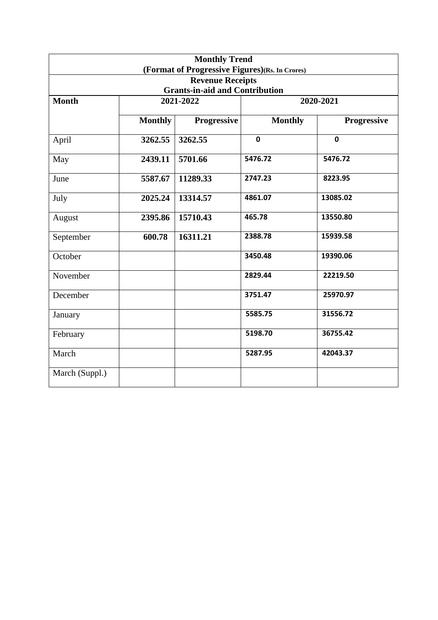|                |                | <b>Monthly Trend</b>                                             |                                                |                    |
|----------------|----------------|------------------------------------------------------------------|------------------------------------------------|--------------------|
|                |                |                                                                  | (Format of Progressive Figures)(Rs. In Crores) |                    |
|                |                | <b>Revenue Receipts</b><br><b>Grants-in-aid and Contribution</b> |                                                |                    |
| <b>Month</b>   |                | 2021-2022                                                        |                                                | 2020-2021          |
|                | <b>Monthly</b> | <b>Progressive</b>                                               | <b>Monthly</b>                                 | <b>Progressive</b> |
| April          | 3262.55        | 3262.55                                                          | $\mathbf 0$                                    | $\mathbf 0$        |
| May            | 2439.11        | 5701.66                                                          | 5476.72                                        | 5476.72            |
| June           | 5587.67        | 11289.33                                                         | 2747.23                                        | 8223.95            |
| July           | 2025.24        | 13314.57                                                         | 4861.07                                        | 13085.02           |
| August         | 2395.86        | 15710.43                                                         | 465.78                                         | 13550.80           |
| September      | 600.78         | 16311.21                                                         | 2388.78                                        | 15939.58           |
| October        |                |                                                                  | 3450.48                                        | 19390.06           |
| November       |                |                                                                  | 2829.44                                        | 22219.50           |
| December       |                |                                                                  | 3751.47                                        | 25970.97           |
| January        |                |                                                                  | 5585.75                                        | 31556.72           |
| February       |                |                                                                  | 5198.70                                        | 36755.42           |
| March          |                |                                                                  | 5287.95                                        | 42043.37           |
| March (Suppl.) |                |                                                                  |                                                |                    |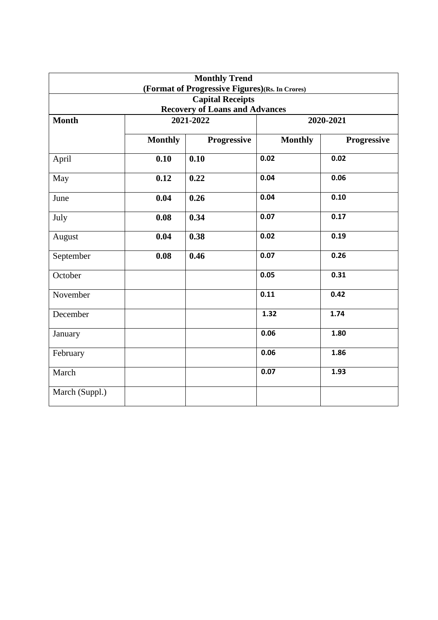|                |                | <b>Monthly Trend</b><br>(Format of Progressive Figures)(Rs. In Crores) |                |             |
|----------------|----------------|------------------------------------------------------------------------|----------------|-------------|
|                |                | <b>Capital Receipts</b>                                                |                |             |
|                |                | <b>Recovery of Loans and Advances</b>                                  |                |             |
| <b>Month</b>   |                | 2021-2022                                                              |                | 2020-2021   |
|                | <b>Monthly</b> | Progressive                                                            | <b>Monthly</b> | Progressive |
| April          | 0.10           | 0.10                                                                   | 0.02           | 0.02        |
| May            | 0.12           | 0.22                                                                   | 0.04           | 0.06        |
| June           | 0.04           | 0.26                                                                   | 0.04           | 0.10        |
| July           | 0.08           | 0.34                                                                   | 0.07           | 0.17        |
| August         | 0.04           | 0.38                                                                   | 0.02           | 0.19        |
| September      | 0.08           | 0.46                                                                   | 0.07           | 0.26        |
| October        |                |                                                                        | 0.05           | 0.31        |
| November       |                |                                                                        | 0.11           | 0.42        |
| December       |                |                                                                        | 1.32           | 1.74        |
| January        |                |                                                                        | 0.06           | 1.80        |
| February       |                |                                                                        | 0.06           | 1.86        |
| March          |                |                                                                        | 0.07           | 1.93        |
| March (Suppl.) |                |                                                                        |                |             |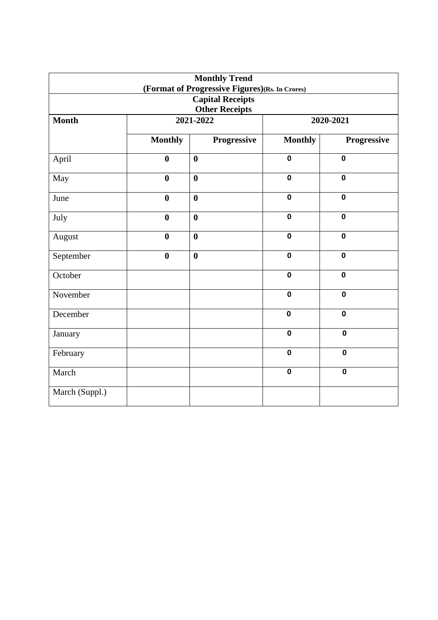|                |                  | <b>Monthly Trend</b><br>(Format of Progressive Figures)(Rs. In Crores) |                         |                         |
|----------------|------------------|------------------------------------------------------------------------|-------------------------|-------------------------|
|                |                  | <b>Capital Receipts</b><br><b>Other Receipts</b>                       |                         |                         |
| <b>Month</b>   |                  | 2021-2022                                                              |                         | $20\overline{20-2021}$  |
|                | <b>Monthly</b>   | Progressive                                                            | <b>Monthly</b>          | Progressive             |
| April          | $\bf{0}$         | $\boldsymbol{0}$                                                       | $\mathbf 0$             | $\mathbf 0$             |
| May            | $\bf{0}$         | $\bf{0}$                                                               | $\overline{\mathbf{0}}$ | $\mathbf 0$             |
| June           | $\boldsymbol{0}$ | $\boldsymbol{0}$                                                       | $\mathbf 0$             | $\mathbf 0$             |
| July           | $\bf{0}$         | $\bf{0}$                                                               | $\mathbf 0$             | $\mathbf 0$             |
| August         | $\boldsymbol{0}$ | $\bf{0}$                                                               | $\mathbf 0$             | $\mathbf 0$             |
| September      | $\boldsymbol{0}$ | $\bf{0}$                                                               | $\mathbf 0$             | $\mathbf 0$             |
| October        |                  |                                                                        | $\overline{\mathbf{0}}$ | $\mathbf 0$             |
| November       |                  |                                                                        | $\overline{\mathbf{0}}$ | $\overline{\mathbf{0}}$ |
| December       |                  |                                                                        | $\mathbf 0$             | $\mathbf 0$             |
| January        |                  |                                                                        | $\mathbf 0$             | $\mathbf 0$             |
| February       |                  |                                                                        | $\mathbf 0$             | $\overline{\mathbf{0}}$ |
| March          |                  |                                                                        | $\pmb{0}$               | $\pmb{0}$               |
| March (Suppl.) |                  |                                                                        |                         |                         |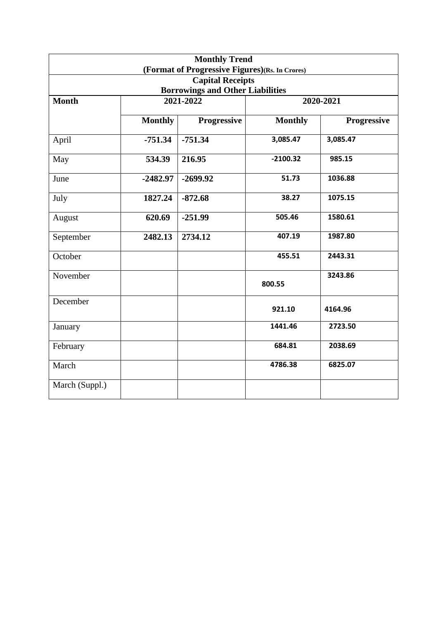|                |                | <b>Monthly Trend</b><br>(Format of Progressive Figures)(Rs. In Crores) |                |                    |
|----------------|----------------|------------------------------------------------------------------------|----------------|--------------------|
|                |                | <b>Capital Receipts</b>                                                |                |                    |
|                |                | <b>Borrowings and Other Liabilities</b>                                |                |                    |
| <b>Month</b>   |                | 2021-2022                                                              |                | 2020-2021          |
|                | <b>Monthly</b> | <b>Progressive</b>                                                     | <b>Monthly</b> | <b>Progressive</b> |
| April          | $-751.34$      | $-751.34$                                                              | 3,085.47       | 3,085.47           |
| May            | 534.39         | 216.95                                                                 | $-2100.32$     | 985.15             |
| June           | $-2482.97$     | $-2699.92$                                                             | 51.73          | 1036.88            |
| July           | 1827.24        | $-872.68$                                                              | 38.27          | 1075.15            |
| August         | 620.69         | $-251.99$                                                              | 505.46         | 1580.61            |
| September      | 2482.13        | 2734.12                                                                | 407.19         | 1987.80            |
| October        |                |                                                                        | 455.51         | 2443.31            |
| November       |                |                                                                        | 800.55         | 3243.86            |
| December       |                |                                                                        | 921.10         | 4164.96            |
| January        |                |                                                                        | 1441.46        | 2723.50            |
| February       |                |                                                                        | 684.81         | 2038.69            |
| March          |                |                                                                        | 4786.38        | 6825.07            |
| March (Suppl.) |                |                                                                        |                |                    |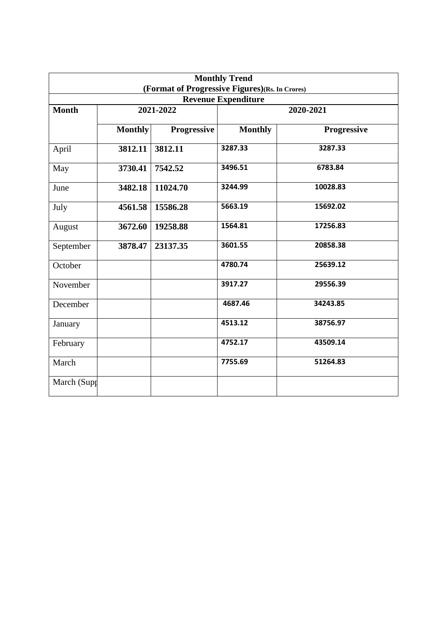| <b>Monthly Trend</b><br>(Format of Progressive Figures)(Rs. In Crores) |                |             |                            |             |  |
|------------------------------------------------------------------------|----------------|-------------|----------------------------|-------------|--|
|                                                                        |                |             | <b>Revenue Expenditure</b> |             |  |
| <b>Month</b>                                                           |                | 2021-2022   |                            | 2020-2021   |  |
|                                                                        | <b>Monthly</b> | Progressive | <b>Monthly</b>             | Progressive |  |
| April                                                                  | 3812.11        | 3812.11     | 3287.33                    | 3287.33     |  |
| May                                                                    | 3730.41        | 7542.52     | 3496.51                    | 6783.84     |  |
| June                                                                   | 3482.18        | 11024.70    | 3244.99                    | 10028.83    |  |
| July                                                                   | 4561.58        | 15586.28    | 5663.19                    | 15692.02    |  |
| August                                                                 | 3672.60        | 19258.88    | 1564.81                    | 17256.83    |  |
| September                                                              | 3878.47        | 23137.35    | 3601.55                    | 20858.38    |  |
| October                                                                |                |             | 4780.74                    | 25639.12    |  |
| November                                                               |                |             | 3917.27                    | 29556.39    |  |
| December                                                               |                |             | 4687.46                    | 34243.85    |  |
| January                                                                |                |             | 4513.12                    | 38756.97    |  |
| February                                                               |                |             | 4752.17                    | 43509.14    |  |
| March                                                                  |                |             | 7755.69                    | 51264.83    |  |
| March (Supp                                                            |                |             |                            |             |  |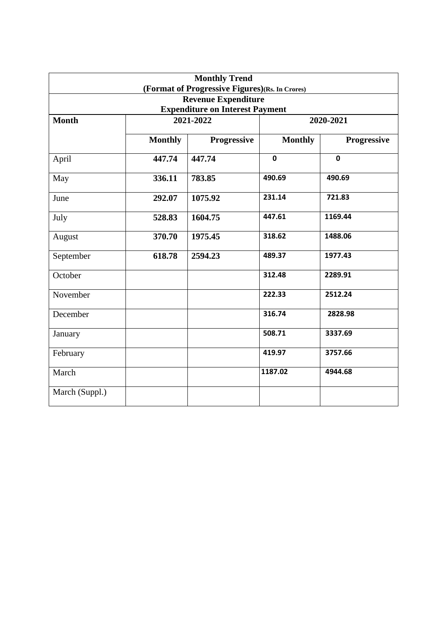|                |                | <b>Monthly Trend</b><br>(Format of Progressive Figures)(Rs. In Crores) |                |             |
|----------------|----------------|------------------------------------------------------------------------|----------------|-------------|
|                |                | <b>Revenue Expenditure</b>                                             |                |             |
|                |                | <b>Expenditure on Interest Payment</b>                                 |                |             |
| <b>Month</b>   |                | 2021-2022                                                              |                | 2020-2021   |
|                | <b>Monthly</b> | Progressive                                                            | <b>Monthly</b> | Progressive |
| April          | 447.74         | 447.74                                                                 | $\mathbf 0$    | $\mathbf 0$ |
| May            | 336.11         | 783.85                                                                 | 490.69         | 490.69      |
| June           | 292.07         | 1075.92                                                                | 231.14         | 721.83      |
| July           | 528.83         | 1604.75                                                                | 447.61         | 1169.44     |
| August         | 370.70         | 1975.45                                                                | 318.62         | 1488.06     |
| September      | 618.78         | 2594.23                                                                | 489.37         | 1977.43     |
| October        |                |                                                                        | 312.48         | 2289.91     |
| November       |                |                                                                        | 222.33         | 2512.24     |
| December       |                |                                                                        | 316.74         | 2828.98     |
| January        |                |                                                                        | 508.71         | 3337.69     |
| February       |                |                                                                        | 419.97         | 3757.66     |
| March          |                |                                                                        | 1187.02        | 4944.68     |
| March (Suppl.) |                |                                                                        |                |             |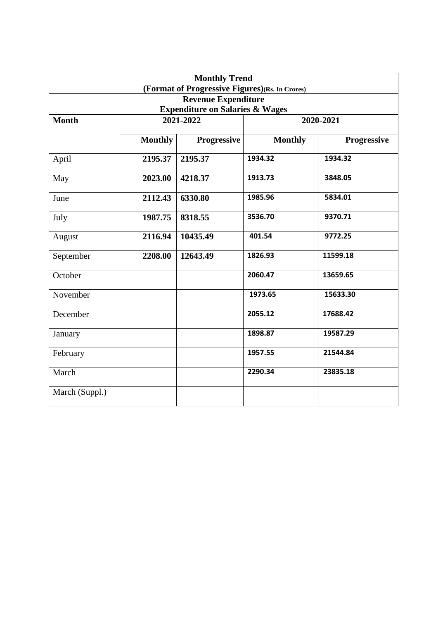|                |                | <b>Monthly Trend</b><br>(Format of Progressive Figures)(Rs. In Crores) |                |                    |
|----------------|----------------|------------------------------------------------------------------------|----------------|--------------------|
|                |                | <b>Revenue Expenditure</b>                                             |                |                    |
|                |                | <b>Expenditure on Salaries &amp; Wages</b>                             |                |                    |
| <b>Month</b>   |                | 2021-2022                                                              |                | 2020-2021          |
|                | <b>Monthly</b> | <b>Progressive</b>                                                     | <b>Monthly</b> | <b>Progressive</b> |
| April          | 2195.37        | 2195.37                                                                | 1934.32        | 1934.32            |
| May            | 2023.00        | 4218.37                                                                | 1913.73        | 3848.05            |
| June           | 2112.43        | 6330.80                                                                | 1985.96        | 5834.01            |
| July           | 1987.75        | 8318.55                                                                | 3536.70        | 9370.71            |
| August         | 2116.94        | 10435.49                                                               | 401.54         | 9772.25            |
| September      | 2208.00        | 12643.49                                                               | 1826.93        | 11599.18           |
| October        |                |                                                                        | 2060.47        | 13659.65           |
| November       |                |                                                                        | 1973.65        | 15633.30           |
| December       |                |                                                                        | 2055.12        | 17688.42           |
| January        |                |                                                                        | 1898.87        | 19587.29           |
| February       |                |                                                                        | 1957.55        | 21544.84           |
| March          |                |                                                                        | 2290.34        | 23835.18           |
| March (Suppl.) |                |                                                                        |                |                    |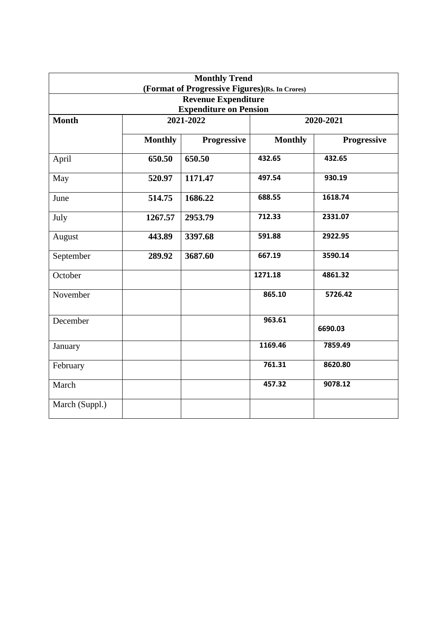|                |                | <b>Monthly Trend</b><br>(Format of Progressive Figures)(Rs. In Crores) |                |             |
|----------------|----------------|------------------------------------------------------------------------|----------------|-------------|
|                |                | <b>Revenue Expenditure</b><br><b>Expenditure on Pension</b>            |                |             |
| <b>Month</b>   |                | 2021-2022                                                              |                | 2020-2021   |
|                | <b>Monthly</b> | <b>Progressive</b>                                                     | <b>Monthly</b> | Progressive |
| April          | 650.50         | 650.50                                                                 | 432.65         | 432.65      |
| May            | 520.97         | 1171.47                                                                | 497.54         | 930.19      |
| June           | 514.75         | 1686.22                                                                | 688.55         | 1618.74     |
| July           | 1267.57        | 2953.79                                                                | 712.33         | 2331.07     |
| August         | 443.89         | 3397.68                                                                | 591.88         | 2922.95     |
| September      | 289.92         | 3687.60                                                                | 667.19         | 3590.14     |
| October        |                |                                                                        | 1271.18        | 4861.32     |
| November       |                |                                                                        | 865.10         | 5726.42     |
| December       |                |                                                                        | 963.61         | 6690.03     |
| January        |                |                                                                        | 1169.46        | 7859.49     |
| February       |                |                                                                        | 761.31         | 8620.80     |
| March          |                |                                                                        | 457.32         | 9078.12     |
| March (Suppl.) |                |                                                                        |                |             |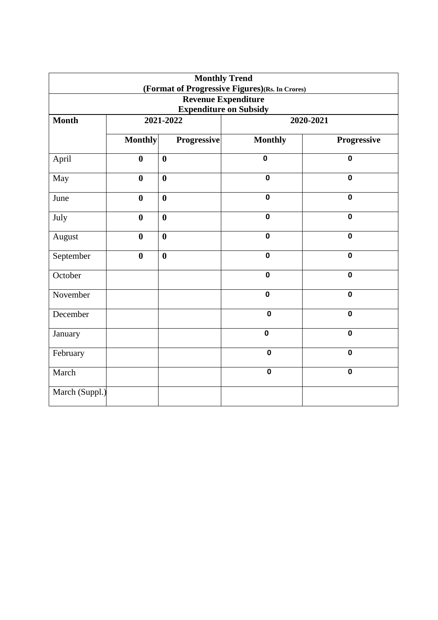|                                                             |                  |                  | <b>Monthly Trend</b><br>(Format of Progressive Figures)(Rs. In Crores) |             |  |  |
|-------------------------------------------------------------|------------------|------------------|------------------------------------------------------------------------|-------------|--|--|
| <b>Revenue Expenditure</b><br><b>Expenditure on Subsidy</b> |                  |                  |                                                                        |             |  |  |
| <b>Month</b>                                                |                  | 2021-2022        | 2020-2021                                                              |             |  |  |
|                                                             | <b>Monthly</b>   | Progressive      | <b>Monthly</b>                                                         | Progressive |  |  |
| April                                                       | $\boldsymbol{0}$ | $\bf{0}$         | $\mathbf 0$                                                            | $\mathbf 0$ |  |  |
| May                                                         | $\bf{0}$         | $\boldsymbol{0}$ | $\mathbf 0$                                                            | $\mathbf 0$ |  |  |
| June                                                        | $\bf{0}$         | $\boldsymbol{0}$ | $\mathbf 0$                                                            | $\mathbf 0$ |  |  |
| July                                                        | $\mathbf{0}$     | $\boldsymbol{0}$ | $\mathbf 0$                                                            | $\mathbf 0$ |  |  |
| August                                                      | $\bf{0}$         | $\boldsymbol{0}$ | $\overline{\mathbf{0}}$                                                | $\mathbf 0$ |  |  |
| September                                                   | $\bf{0}$         | $\boldsymbol{0}$ | $\mathbf 0$                                                            | $\mathbf 0$ |  |  |
| October                                                     |                  |                  | $\mathbf 0$                                                            | $\mathbf 0$ |  |  |
| November                                                    |                  |                  | $\mathbf 0$                                                            | $\mathbf 0$ |  |  |
| December                                                    |                  |                  | $\mathbf 0$                                                            | $\mathbf 0$ |  |  |
| January                                                     |                  |                  | $\mathbf 0$                                                            | $\mathbf 0$ |  |  |
| February                                                    |                  |                  | $\mathbf 0$                                                            | $\mathbf 0$ |  |  |
| March                                                       |                  |                  | $\pmb{0}$                                                              | $\mathbf 0$ |  |  |
| March (Suppl.)                                              |                  |                  |                                                                        |             |  |  |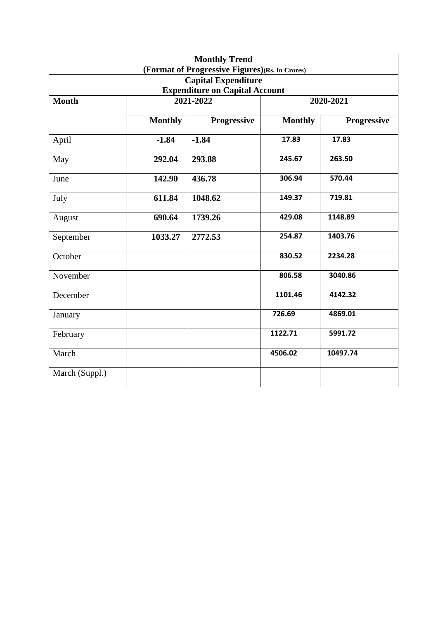|                                                                                 |                | <b>Monthly Trend</b>                           |                |             |  |
|---------------------------------------------------------------------------------|----------------|------------------------------------------------|----------------|-------------|--|
|                                                                                 |                | (Format of Progressive Figures)(Rs. In Crores) |                |             |  |
|                                                                                 |                | <b>Capital Expenditure</b>                     |                |             |  |
| <b>Expenditure on Capital Account</b><br>2021-2022<br><b>Month</b><br>2020-2021 |                |                                                |                |             |  |
|                                                                                 |                |                                                |                |             |  |
|                                                                                 | <b>Monthly</b> | <b>Progressive</b>                             | <b>Monthly</b> | Progressive |  |
| April                                                                           | $-1.84$        | $-1.84$                                        | 17.83          | 17.83       |  |
| May                                                                             | 292.04         | 293.88                                         | 245.67         | 263.50      |  |
| June                                                                            | 142.90         | 436.78                                         | 306.94         | 570.44      |  |
| July                                                                            | 611.84         | 1048.62                                        | 149.37         | 719.81      |  |
| August                                                                          | 690.64         | 1739.26                                        | 429.08         | 1148.89     |  |
| September                                                                       | 1033.27        | 2772.53                                        | 254.87         | 1403.76     |  |
| October                                                                         |                |                                                | 830.52         | 2234.28     |  |
| November                                                                        |                |                                                | 806.58         | 3040.86     |  |
| December                                                                        |                |                                                | 1101.46        | 4142.32     |  |
| January                                                                         |                |                                                | 726.69         | 4869.01     |  |
| February                                                                        |                |                                                | 1122.71        | 5991.72     |  |
| March                                                                           |                |                                                | 4506.02        | 10497.74    |  |
| March (Suppl.)                                                                  |                |                                                |                |             |  |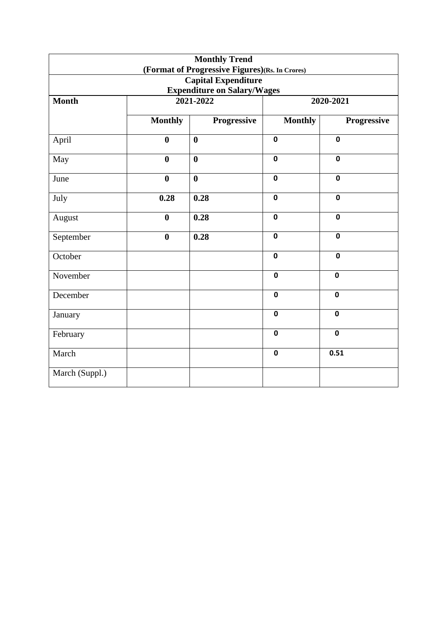|                                    |                  | <b>Monthly Trend</b>                           |                |             |  |  |
|------------------------------------|------------------|------------------------------------------------|----------------|-------------|--|--|
|                                    |                  | (Format of Progressive Figures)(Rs. In Crores) |                |             |  |  |
|                                    |                  | <b>Capital Expenditure</b>                     |                |             |  |  |
| <b>Expenditure on Salary/Wages</b> |                  |                                                |                |             |  |  |
| <b>Month</b>                       |                  | 2021-2022                                      | 2020-2021      |             |  |  |
|                                    |                  |                                                |                |             |  |  |
|                                    | <b>Monthly</b>   | Progressive                                    | <b>Monthly</b> | Progressive |  |  |
| April                              | $\bf{0}$         | $\bf{0}$                                       | $\mathbf 0$    | $\mathbf 0$ |  |  |
| May                                | $\boldsymbol{0}$ | $\boldsymbol{0}$                               | $\mathbf 0$    | $\mathbf 0$ |  |  |
| June                               | $\boldsymbol{0}$ | $\bf{0}$                                       | $\mathbf 0$    | $\mathbf 0$ |  |  |
| July                               | 0.28             | 0.28                                           | $\mathbf 0$    | $\mathbf 0$ |  |  |
| August                             | $\boldsymbol{0}$ | 0.28                                           | $\mathbf 0$    | $\mathbf 0$ |  |  |
| September                          | $\boldsymbol{0}$ | 0.28                                           | $\mathbf 0$    | $\mathbf 0$ |  |  |
| October                            |                  |                                                | $\mathbf 0$    | $\mathbf 0$ |  |  |
| November                           |                  |                                                | $\mathbf 0$    | $\mathbf 0$ |  |  |
| December                           |                  |                                                | $\mathbf 0$    | $\mathbf 0$ |  |  |
| January                            |                  |                                                | $\mathbf 0$    | $\mathbf 0$ |  |  |
| February                           |                  |                                                | $\mathbf 0$    | $\mathbf 0$ |  |  |
| March                              |                  |                                                | $\mathbf 0$    | 0.51        |  |  |
| March (Suppl.)                     |                  |                                                |                |             |  |  |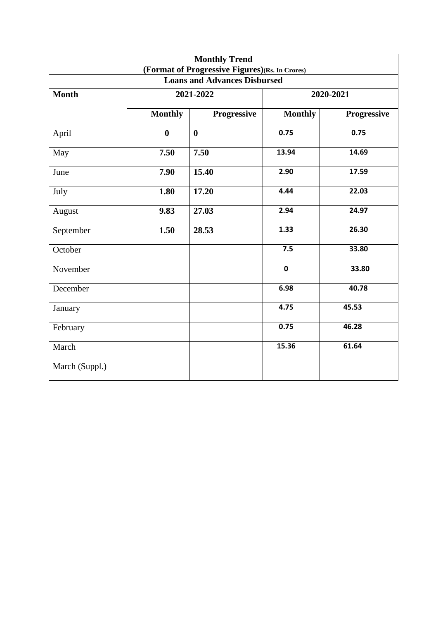|                                                                                       |                  | <b>Monthly Trend</b> |                |             |  |  |
|---------------------------------------------------------------------------------------|------------------|----------------------|----------------|-------------|--|--|
| (Format of Progressive Figures)(Rs. In Crores)<br><b>Loans and Advances Disbursed</b> |                  |                      |                |             |  |  |
| Month                                                                                 |                  | 2021-2022            | 2020-2021      |             |  |  |
|                                                                                       | <b>Monthly</b>   | Progressive          | <b>Monthly</b> | Progressive |  |  |
| April                                                                                 | $\boldsymbol{0}$ | $\boldsymbol{0}$     | 0.75           | 0.75        |  |  |
| May                                                                                   | 7.50             | 7.50                 | 13.94          | 14.69       |  |  |
| June                                                                                  | 7.90             | 15.40                | 2.90           | 17.59       |  |  |
| July                                                                                  | 1.80             | 17.20                | 4.44           | 22.03       |  |  |
| August                                                                                | 9.83             | 27.03                | 2.94           | 24.97       |  |  |
| September                                                                             | 1.50             | 28.53                | 1.33           | 26.30       |  |  |
| October                                                                               |                  |                      | 7.5            | 33.80       |  |  |
| November                                                                              |                  |                      | $\mathbf 0$    | 33.80       |  |  |
| December                                                                              |                  |                      | 6.98           | 40.78       |  |  |
| January                                                                               |                  |                      | 4.75           | 45.53       |  |  |
| February                                                                              |                  |                      | 0.75           | 46.28       |  |  |
| March                                                                                 |                  |                      | 15.36          | 61.64       |  |  |
| March (Suppl.)                                                                        |                  |                      |                |             |  |  |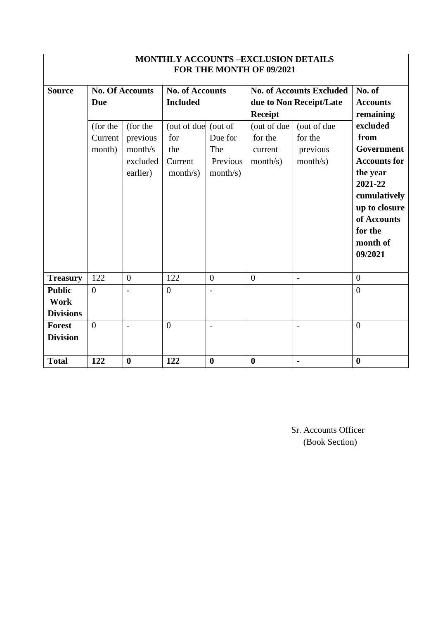| <b>MONTHLY ACCOUNTS -EXCLUSION DETAILS</b><br>FOR THE MONTH OF 09/2021 |                                             |                                                                                   |                                                                                                       |                                        |                                                                 |                                                                                                              |                                                                                                                                                         |  |
|------------------------------------------------------------------------|---------------------------------------------|-----------------------------------------------------------------------------------|-------------------------------------------------------------------------------------------------------|----------------------------------------|-----------------------------------------------------------------|--------------------------------------------------------------------------------------------------------------|---------------------------------------------------------------------------------------------------------------------------------------------------------|--|
| <b>Source</b>                                                          | <b>Due</b><br>(for the<br>Current<br>month) | <b>No. Of Accounts</b><br>(for the<br>previous<br>month/s<br>excluded<br>earlier) | <b>No. of Accounts</b><br><b>Included</b><br>(out of due (out of<br>for<br>the<br>Current<br>month/s) | Due for<br>The<br>Previous<br>month/s) | <b>Receipt</b><br>(out of due<br>for the<br>current<br>month/s) | <b>No. of Accounts Excluded</b><br>due to Non Receipt/Late<br>(out of due<br>for the<br>previous<br>month/s) | No. of<br><b>Accounts</b><br>remaining<br>excluded<br>from<br>Government<br><b>Accounts for</b><br>the year<br>2021-22<br>cumulatively<br>up to closure |  |
|                                                                        |                                             |                                                                                   |                                                                                                       |                                        |                                                                 |                                                                                                              | of Accounts<br>for the<br>month of<br>09/2021                                                                                                           |  |
| <b>Treasury</b>                                                        | 122                                         | $\overline{0}$                                                                    | 122                                                                                                   | $\overline{0}$                         | $\overline{0}$                                                  | $\overline{a}$                                                                                               | $\overline{0}$                                                                                                                                          |  |
| <b>Public</b><br>Work<br><b>Divisions</b>                              | $\overline{0}$                              | $\overline{a}$                                                                    | $\overline{0}$                                                                                        | $\overline{a}$                         |                                                                 |                                                                                                              | $\overline{0}$                                                                                                                                          |  |
| <b>Forest</b><br><b>Division</b>                                       | $\theta$                                    |                                                                                   | $\theta$                                                                                              | $\overline{a}$                         |                                                                 |                                                                                                              | $\theta$                                                                                                                                                |  |
| <b>Total</b>                                                           | 122                                         | $\bf{0}$                                                                          | 122                                                                                                   | $\boldsymbol{0}$                       | $\boldsymbol{0}$                                                |                                                                                                              | $\boldsymbol{0}$                                                                                                                                        |  |

Sr. Accounts Officer (Book Section)